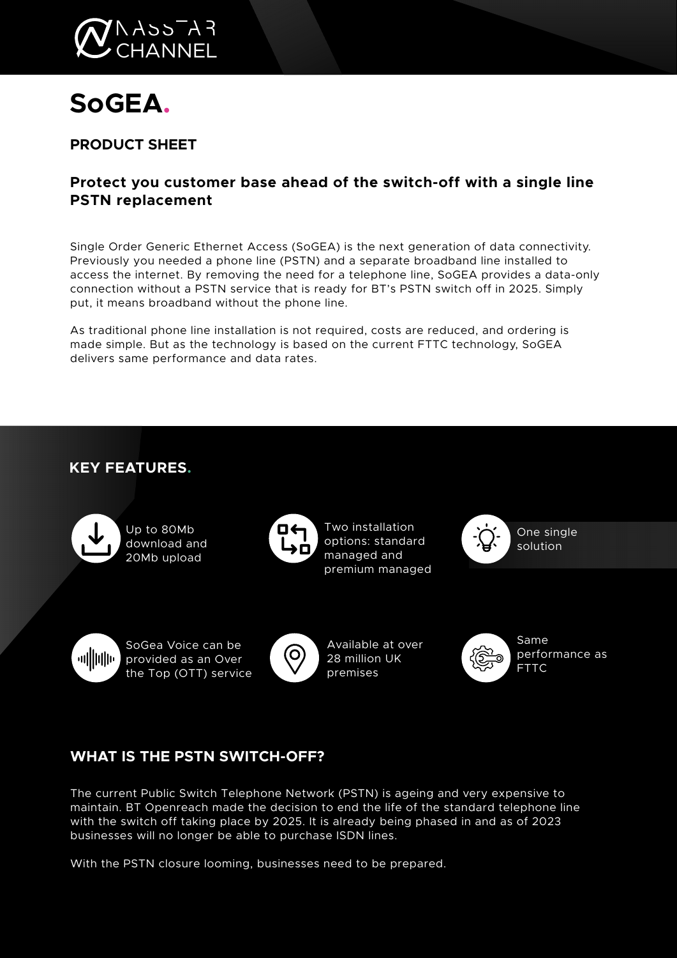

# **SoGEA.**

**PRODUCT SHEET**

# **Protect you customer base ahead of the switch-off with a single line PSTN replacement**

Single Order Generic Ethernet Access (SoGEA) is the next generation of data connectivity. Previously you needed a phone line (PSTN) and a separate broadband line installed to access the internet. By removing the need for a telephone line, SoGEA provides a data-only connection without a PSTN service that is ready for BT's PSTN switch off in 2025. Simply put, it means broadband without the phone line.

As traditional phone line installation is not required, costs are reduced, and ordering is made simple. But as the technology is based on the current FTTC technology, SoGEA delivers same performance and data rates.



# **WHAT IS THE PSTN SWITCH-OFF?**

The current Public Switch Telephone Network (PSTN) is ageing and very expensive to maintain. BT Openreach made the decision to end the life of the standard telephone line with the switch off taking place by 2025. It is already being phased in and as of 2023 businesses will no longer be able to purchase ISDN lines.

With the PSTN closure looming, businesses need to be prepared.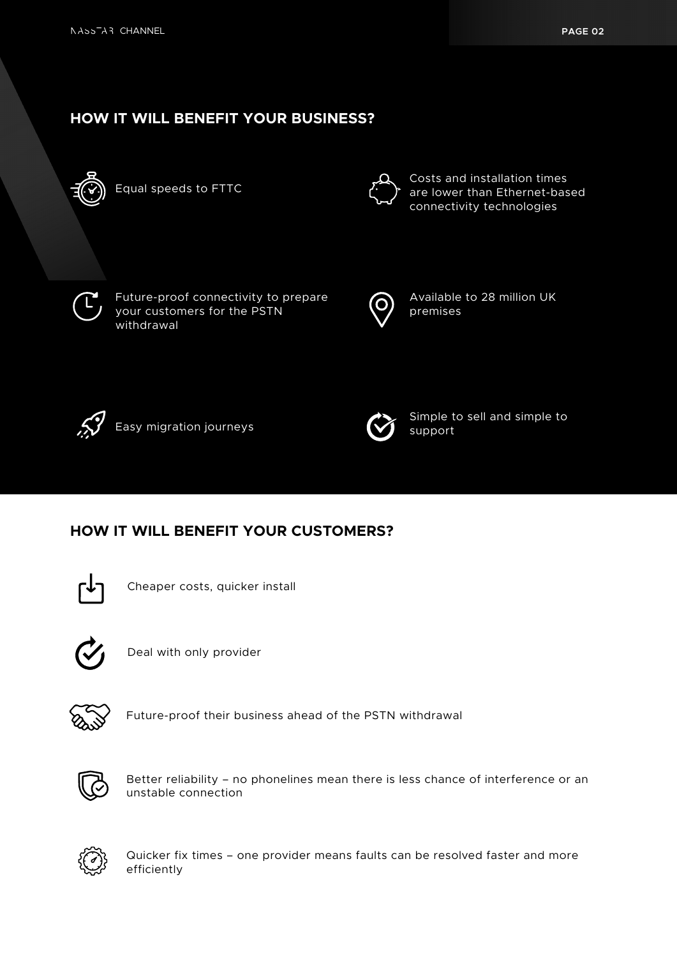# **HOW IT WILL BENEFIT YOUR BUSINESS?**



Equal speeds to FTTC



Costs and installation times are lower than Ethernet-based connectivity technologies



Future-proof connectivity to prepare your customers for the PSTN withdrawal



Available to 28 million UK premises



Easy migration journeys



Simple to sell and simple to support

## **HOW IT WILL BENEFIT YOUR CUSTOMERS?**



Cheaper costs, quicker install



Deal with only provider



Future-proof their business ahead of the PSTN withdrawal



Better reliability – no phonelines mean there is less chance of interference or an unstable connection



Quicker fix times – one provider means faults can be resolved faster and more efficiently